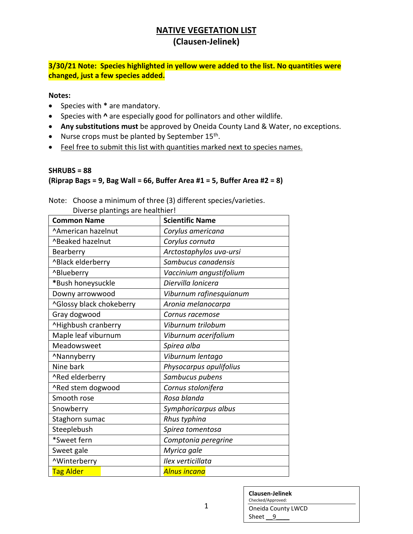**3/30/21 Note: Species highlighted in yellow were added to the list. No quantities were changed, just a few species added.**

**Notes:**

- Species with **\*** are mandatory.
- Species with **^** are especially good for pollinators and other wildlife.
- **Any substitutions must** be approved by Oneida County Land & Water, no exceptions.
- $\bullet$  Nurse crops must be planted by September 15<sup>th</sup>.
- Feel free to submit this list with quantities marked next to species names.

#### **SHRUBS = 88 (Riprap Bags = 9, Bag Wall = 66, Buffer Area #1 = 5, Buffer Area #2 = 8)**

Note: Choose a minimum of three (3) different species/varieties. Diverse plantings are healthier!

| <b>Common Name</b>       | <b>Scientific Name</b>  |
|--------------------------|-------------------------|
| ^American hazelnut       | Corylus americana       |
| ^Beaked hazelnut         | Corylus cornuta         |
| Bearberry                | Arctostaphylos uva-ursi |
| ^Black elderberry        | Sambucus canadensis     |
| ^Blueberry               | Vaccinium angustifolium |
| *Bush honeysuckle        | Diervilla lonicera      |
| Downy arrowwood          | Viburnum rafinesquianum |
| ^Glossy black chokeberry | Aronia melanocarpa      |
| Gray dogwood             | Cornus racemose         |
| ^Highbush cranberry      | Viburnum trilobum       |
| Maple leaf viburnum      | Viburnum acerifolium    |
| Meadowsweet              | Spirea alba             |
| ^Nannyberry              | Viburnum lentago        |
| Nine bark                | Physocarpus opulifolius |
| ^Red elderberry          | Sambucus pubens         |
| ^Red stem dogwood        | Cornus stolonifera      |
| Smooth rose              | Rosa blanda             |
| Snowberry                | Symphoricarpus albus    |
| Staghorn sumac           | Rhus typhina            |
| Steeplebush              | Spirea tomentosa        |
| *Sweet fern              | Comptonia peregrine     |
| Sweet gale               | Myrica gale             |
| ^Winterberry             | Ilex verticillata       |
| <b>Tag Alder</b>         | Alnus incana            |

| <b>Clausen-Jelinek</b><br>Checked/Approved: |
|---------------------------------------------|
| Oneida County LWCD                          |
| Sheet 9                                     |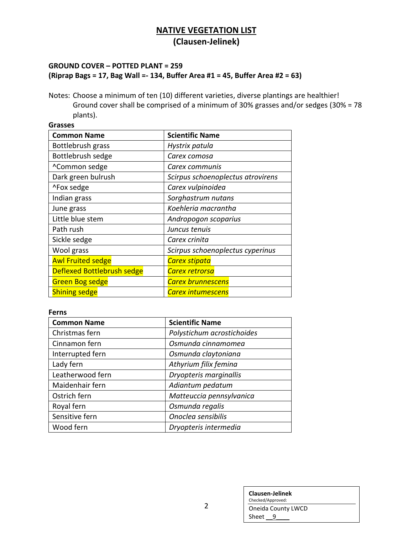### **GROUND COVER – POTTED PLANT = 259 (Riprap Bags = 17, Bag Wall =- 134, Buffer Area #1 = 45, Buffer Area #2 = 63)**

Notes: Choose a minimum of ten (10) different varieties, diverse plantings are healthier! Ground cover shall be comprised of a minimum of 30% grasses and/or sedges (30% = 78 plants).

| <b>Grasses</b>             |                                   |  |
|----------------------------|-----------------------------------|--|
| <b>Common Name</b>         | <b>Scientific Name</b>            |  |
| Bottlebrush grass          | Hystrix patula                    |  |
| Bottlebrush sedge          | Carex comosa                      |  |
| ^Common sedge              | Carex communis                    |  |
| Dark green bulrush         | Scirpus schoenoplectus atrovirens |  |
| ^Fox sedge                 | Carex vulpinoidea                 |  |
| Indian grass               | Sorghastrum nutans                |  |
| June grass                 | Koehleria macrantha               |  |
| Little blue stem           | Andropogon scoparius              |  |
| Path rush                  | Juncus tenuis                     |  |
| Sickle sedge               | Carex crinita                     |  |
| Wool grass                 | Scirpus schoenoplectus cyperinus  |  |
| <b>Awl Fruited sedge</b>   | Carex stipata                     |  |
| Deflexed Bottlebrush sedge | Carex retrorsa                    |  |
| <b>Green Bog sedge</b>     | <b>Carex brunnescens</b>          |  |
| <b>Shining sedge</b>       | Carex intumescens                 |  |

#### **Ferns**

| <b>Common Name</b> | <b>Scientific Name</b>     |
|--------------------|----------------------------|
| Christmas fern     | Polystichum acrostichoides |
| Cinnamon fern      | Osmunda cinnamomea         |
| Interrupted fern   | Osmunda claytoniana        |
| Lady fern          | Athyrium filix femina      |
| Leatherwood fern   | Dryopteris marginallis     |
| Maidenhair fern    | Adiantum pedatum           |
| Ostrich fern       | Matteuccia pennsylvanica   |
| Royal fern         | Osmunda regalis            |
| Sensitive fern     | Onoclea sensibilis         |
| Wood fern          | Dryopteris intermedia      |

| Clausen-Jelinek<br>Checked/Approved: |  |
|--------------------------------------|--|
| Oneida County LWCD<br>Sheet          |  |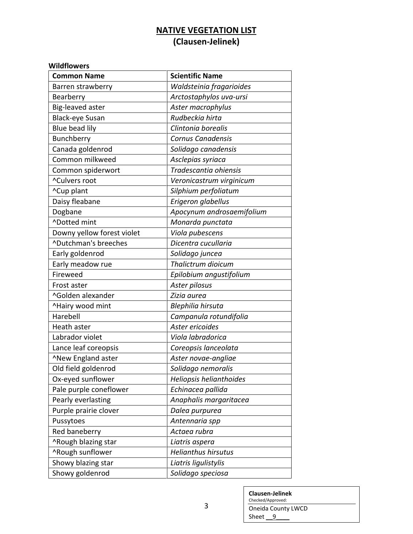### **Wildflowers**

| <b>Common Name</b>         | <b>Scientific Name</b>     |
|----------------------------|----------------------------|
| Barren strawberry          | Waldsteinia fragarioides   |
| Bearberry                  | Arctostaphylos uva-ursi    |
| Big-leaved aster           | Aster macrophylus          |
| Black-eye Susan            | Rudbeckia hirta            |
| Blue bead lily             | Clintonia borealis         |
| Bunchberry                 | Cornus Canadensis          |
| Canada goldenrod           | Solidago canadensis        |
| Common milkweed            | Asclepias syriaca          |
| Common spiderwort          | Tradescantia ohiensis      |
| ^Culvers root              | Veronicastrum virginicum   |
| ^Cup plant                 | Silphium perfoliatum       |
| Daisy fleabane             | Erigeron glabellus         |
| Dogbane                    | Apocynum androsaemifolium  |
| ^Dotted mint               | Monarda punctata           |
| Downy yellow forest violet | Viola pubescens            |
| ^Dutchman's breeches       | Dicentra cucullaria        |
| Early goldenrod            | Solidago juncea            |
| Early meadow rue           | Thalictrum dioicum         |
| Fireweed                   | Epilobium angustifolium    |
| Frost aster                | Aster pilosus              |
| ^Golden alexander          | Zizia aurea                |
| ^Hairy wood mint           | Blephilia hirsuta          |
| Harebell                   | Campanula rotundifolia     |
| Heath aster                | Aster ericoides            |
| Labrador violet            | Viola labradorica          |
| Lance leaf coreopsis       | Coreopsis lanceolata       |
| ^New England aster         | Aster novae-angliae        |
| Old field goldenrod        | Solidago nemoralis         |
| Ox-eyed sunflower          | Heliopsis helianthoides    |
| Pale purple coneflower     | Echinacea pallida          |
| Pearly everlasting         | Anaphalis margaritacea     |
| Purple prairie clover      | Dalea purpurea             |
| Pussytoes                  | Antennaria spp             |
| Red baneberry              | Actaea rubra               |
| ^Rough blazing star        | Liatris aspera             |
| ^Rough sunflower           | <b>Helianthus hirsutus</b> |
| Showy blazing star         | Liatris ligulistylis       |
| Showy goldenrod            | Solidago speciosa          |

| <b>Clausen-Jelinek</b> |  |
|------------------------|--|
| Checked/Approved:      |  |
| Oneida County LWCD     |  |
| Sheet                  |  |